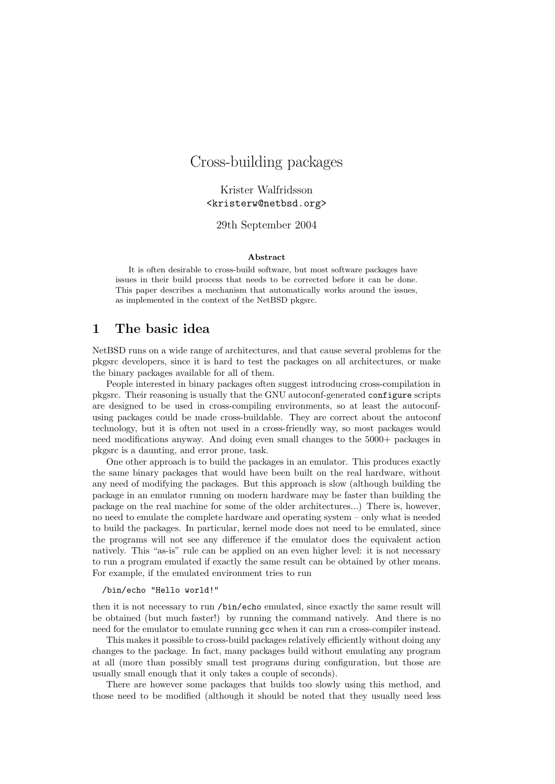# Cross-building packages

Krister Walfridsson <kristerw@netbsd.org>

29th September 2004

#### Abstract

It is often desirable to cross-build software, but most software packages have issues in their build process that needs to be corrected before it can be done. This paper describes a mechanism that automatically works around the issues, as implemented in the context of the NetBSD pkgsrc.

## 1 The basic idea

NetBSD runs on a wide range of architectures, and that cause several problems for the pkgsrc developers, since it is hard to test the packages on all architectures, or make the binary packages available for all of them.

People interested in binary packages often suggest introducing cross-compilation in pkgsrc. Their reasoning is usually that the GNU autoconf-generated configure scripts are designed to be used in cross-compiling environments, so at least the autoconfusing packages could be made cross-buildable. They are correct about the autoconf technology, but it is often not used in a cross-friendly way, so most packages would need modifications anyway. And doing even small changes to the 5000+ packages in pkgsrc is a daunting, and error prone, task.

One other approach is to build the packages in an emulator. This produces exactly the same binary packages that would have been built on the real hardware, without any need of modifying the packages. But this approach is slow (although building the package in an emulator running on modern hardware may be faster than building the package on the real machine for some of the older architectures...) There is, however, no need to emulate the complete hardware and operating system – only what is needed to build the packages. In particular, kernel mode does not need to be emulated, since the programs will not see any difference if the emulator does the equivalent action natively. This "as-is" rule can be applied on an even higher level: it is not necessary to run a program emulated if exactly the same result can be obtained by other means. For example, if the emulated environment tries to run

#### /bin/echo "Hello world!"

then it is not necessary to run /bin/echo emulated, since exactly the same result will be obtained (but much faster!) by running the command natively. And there is no need for the emulator to emulate running gcc when it can run a cross-compiler instead.

This makes it possible to cross-build packages relatively efficiently without doing any changes to the package. In fact, many packages build without emulating any program at all (more than possibly small test programs during configuration, but those are usually small enough that it only takes a couple of seconds).

There are however some packages that builds too slowly using this method, and those need to be modified (although it should be noted that they usually need less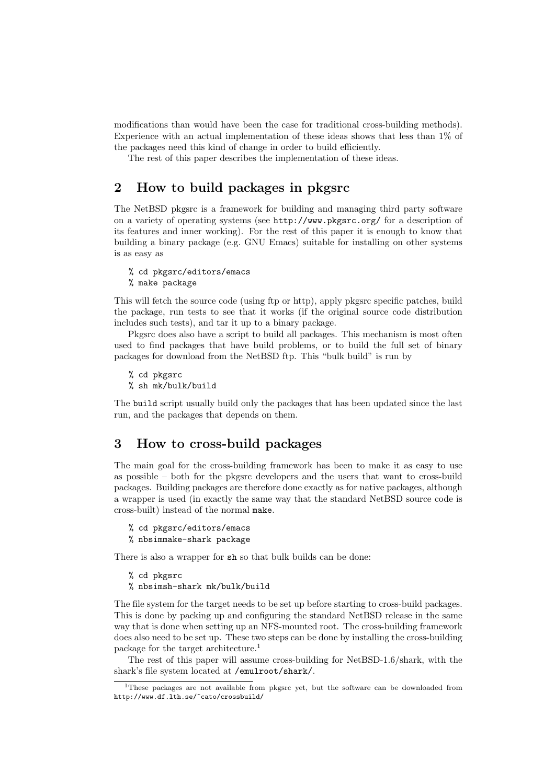modifications than would have been the case for traditional cross-building methods). Experience with an actual implementation of these ideas shows that less than 1% of the packages need this kind of change in order to build efficiently.

The rest of this paper describes the implementation of these ideas.

## 2 How to build packages in pkgsrc

The NetBSD pkgsrc is a framework for building and managing third party software on a variety of operating systems (see http://www.pkgsrc.org/ for a description of its features and inner working). For the rest of this paper it is enough to know that building a binary package (e.g. GNU Emacs) suitable for installing on other systems is as easy as

```
% cd pkgsrc/editors/emacs
% make package
```
This will fetch the source code (using ftp or http), apply pkgsrc specific patches, build the package, run tests to see that it works (if the original source code distribution includes such tests), and tar it up to a binary package.

Pkgsrc does also have a script to build all packages. This mechanism is most often used to find packages that have build problems, or to build the full set of binary packages for download from the NetBSD ftp. This "bulk build" is run by

% cd pkgsrc % sh mk/bulk/build

The build script usually build only the packages that has been updated since the last run, and the packages that depends on them.

## 3 How to cross-build packages

The main goal for the cross-building framework has been to make it as easy to use as possible – both for the pkgsrc developers and the users that want to cross-build packages. Building packages are therefore done exactly as for native packages, although a wrapper is used (in exactly the same way that the standard NetBSD source code is cross-built) instead of the normal make.

```
% cd pkgsrc/editors/emacs
% nbsimmake-shark package
```
There is also a wrapper for sh so that bulk builds can be done:

% cd pkgsrc

% nbsimsh-shark mk/bulk/build

The file system for the target needs to be set up before starting to cross-build packages. This is done by packing up and configuring the standard NetBSD release in the same way that is done when setting up an NFS-mounted root. The cross-building framework does also need to be set up. These two steps can be done by installing the cross-building package for the target architecture.<sup>1</sup>

The rest of this paper will assume cross-building for NetBSD-1.6/shark, with the shark's file system located at /emulroot/shark/.

<sup>1</sup>These packages are not available from pkgsrc yet, but the software can be downloaded from http://www.df.lth.se/~cato/crossbuild/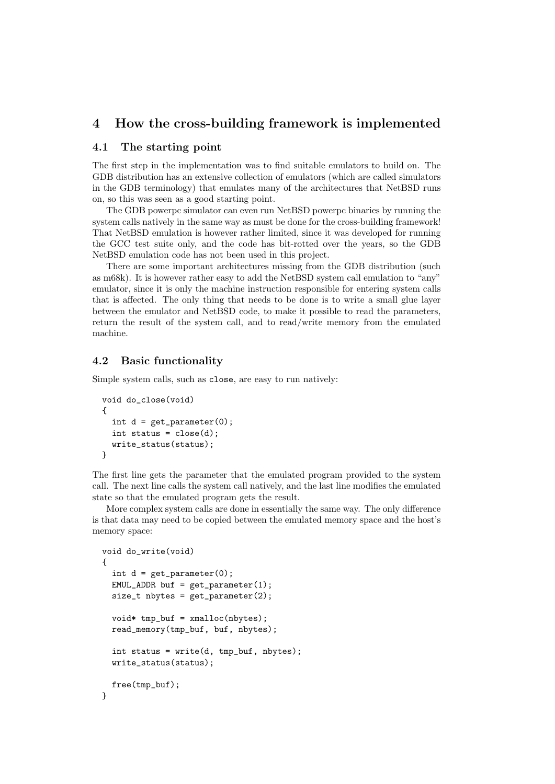## 4 How the cross-building framework is implemented

#### 4.1 The starting point

The first step in the implementation was to find suitable emulators to build on. The GDB distribution has an extensive collection of emulators (which are called simulators in the GDB terminology) that emulates many of the architectures that NetBSD runs on, so this was seen as a good starting point.

The GDB powerpc simulator can even run NetBSD powerpc binaries by running the system calls natively in the same way as must be done for the cross-building framework! That NetBSD emulation is however rather limited, since it was developed for running the GCC test suite only, and the code has bit-rotted over the years, so the GDB NetBSD emulation code has not been used in this project.

There are some important architectures missing from the GDB distribution (such as m68k). It is however rather easy to add the NetBSD system call emulation to "any" emulator, since it is only the machine instruction responsible for entering system calls that is affected. The only thing that needs to be done is to write a small glue layer between the emulator and NetBSD code, to make it possible to read the parameters, return the result of the system call, and to read/write memory from the emulated machine.

### 4.2 Basic functionality

Simple system calls, such as close, are easy to run natively:

```
void do_close(void)
{
 int d = get\_parameter(0);int status = close(d);
  write_status(status);
}
```
The first line gets the parameter that the emulated program provided to the system call. The next line calls the system call natively, and the last line modifies the emulated state so that the emulated program gets the result.

More complex system calls are done in essentially the same way. The only difference is that data may need to be copied between the emulated memory space and the host's memory space:

```
void do_write(void)
{
 int d = get\_parameter(0);EMUL_ADDR buf = get\_parameter(1);
 size_t nbytes = get_parameter(2);
 void* tmp_buf = xmalloc(hbytes);read_memory(tmp_buf, buf, nbytes);
 int status = write(d, tmp_buf, nbytes);write_status(status);
 free(tmp_buf);
}
```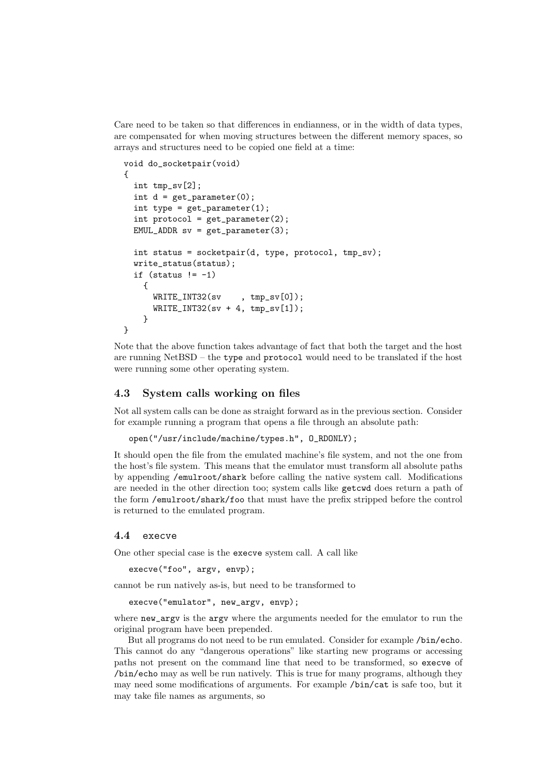Care need to be taken so that differences in endianness, or in the width of data types, are compensated for when moving structures between the different memory spaces, so arrays and structures need to be copied one field at a time:

```
void do_socketpair(void)
{
  int tmp_sv[2];
  int d = get\_parameter(0);int type = get\_parameter(1);
  int protocol = get\_parameter(2);
  EMUL_ADDR sv = get\_parameter(3);int status = socketpair(d, type, protocol, tmp_sv);
  write_status(status);
  if (status != -1)
    {
      WRITE_INT32(sv , tmp_sv[0]);
      WRITE_INT32(sv + 4, tmp_sv[1]);}
}
```
Note that the above function takes advantage of fact that both the target and the host are running NetBSD – the type and protocol would need to be translated if the host were running some other operating system.

#### 4.3 System calls working on files

Not all system calls can be done as straight forward as in the previous section. Consider for example running a program that opens a file through an absolute path:

```
open("/usr/include/machine/types.h", O_RDONLY);
```
It should open the file from the emulated machine's file system, and not the one from the host's file system. This means that the emulator must transform all absolute paths by appending /emulroot/shark before calling the native system call. Modifications are needed in the other direction too; system calls like getcwd does return a path of the form /emulroot/shark/foo that must have the prefix stripped before the control is returned to the emulated program.

#### 4.4 execve

One other special case is the execve system call. A call like

execve("foo", argv, envp);

cannot be run natively as-is, but need to be transformed to

```
execve("emulator", new_argv, envp);
```
where new\_argv is the argv where the arguments needed for the emulator to run the original program have been prepended.

But all programs do not need to be run emulated. Consider for example /bin/echo. This cannot do any "dangerous operations" like starting new programs or accessing paths not present on the command line that need to be transformed, so execve of /bin/echo may as well be run natively. This is true for many programs, although they may need some modifications of arguments. For example /bin/cat is safe too, but it may take file names as arguments, so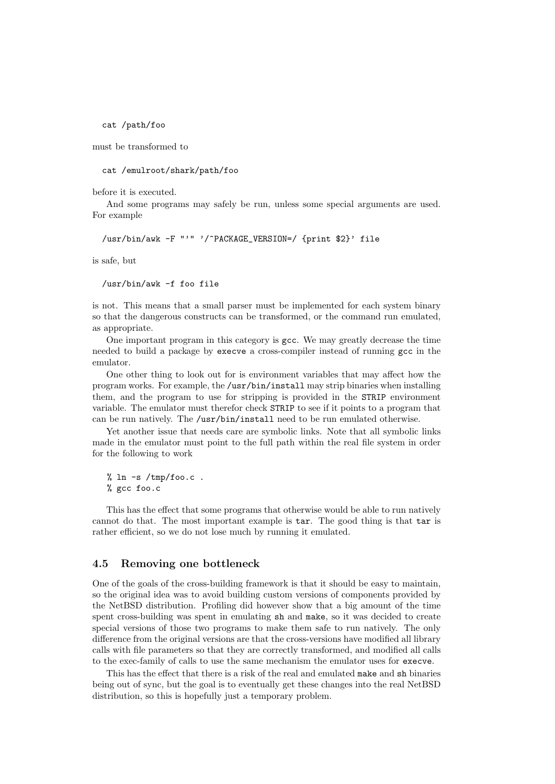cat /path/foo

must be transformed to

cat /emulroot/shark/path/foo

before it is executed.

And some programs may safely be run, unless some special arguments are used. For example

/usr/bin/awk -F "'" '/^PACKAGE\_VERSION=/ {print \$2}' file

is safe, but

/usr/bin/awk -f foo file

is not. This means that a small parser must be implemented for each system binary so that the dangerous constructs can be transformed, or the command run emulated, as appropriate.

One important program in this category is gcc. We may greatly decrease the time needed to build a package by execve a cross-compiler instead of running gcc in the emulator.

One other thing to look out for is environment variables that may affect how the program works. For example, the /usr/bin/install may strip binaries when installing them, and the program to use for stripping is provided in the STRIP environment variable. The emulator must therefor check STRIP to see if it points to a program that can be run natively. The /usr/bin/install need to be run emulated otherwise.

Yet another issue that needs care are symbolic links. Note that all symbolic links made in the emulator must point to the full path within the real file system in order for the following to work

% ln -s /tmp/foo.c . % gcc foo.c

This has the effect that some programs that otherwise would be able to run natively cannot do that. The most important example is tar. The good thing is that tar is rather efficient, so we do not lose much by running it emulated.

#### 4.5 Removing one bottleneck

One of the goals of the cross-building framework is that it should be easy to maintain, so the original idea was to avoid building custom versions of components provided by the NetBSD distribution. Profiling did however show that a big amount of the time spent cross-building was spent in emulating sh and make, so it was decided to create special versions of those two programs to make them safe to run natively. The only difference from the original versions are that the cross-versions have modified all library calls with file parameters so that they are correctly transformed, and modified all calls to the exec-family of calls to use the same mechanism the emulator uses for execve.

This has the effect that there is a risk of the real and emulated make and sh binaries being out of sync, but the goal is to eventually get these changes into the real NetBSD distribution, so this is hopefully just a temporary problem.